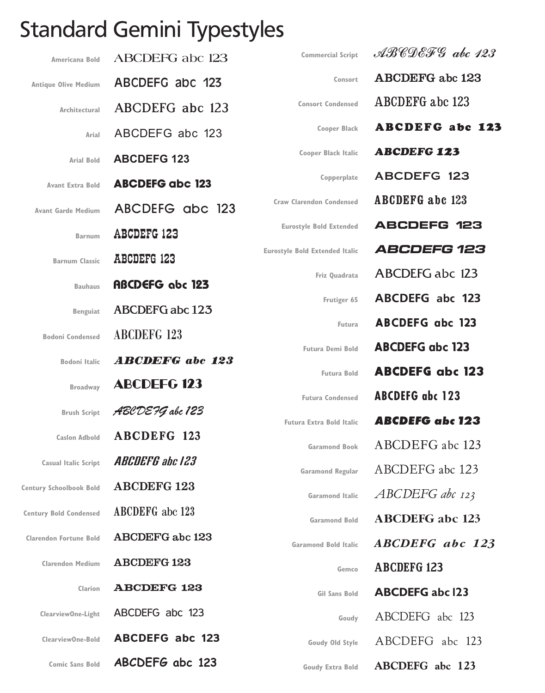## **Standard Gemini Typestyles**

| Americana Bold                 | <b>ABCDEFG</b> abc 123 | <b>Commercial Script</b>              | $ABCDEFG$ abc 123      |
|--------------------------------|------------------------|---------------------------------------|------------------------|
| <b>Antique Olive Medium</b>    | ABCDEFG abc 123        | Consort                               | <b>ABCDEFG</b> abc 123 |
| Architectural                  | ABCDEFG abc 123        | <b>Consort Condensed</b>              | <b>ABCDEFG</b> abc 123 |
| Arial                          | ABCDEFG abc 123        | <b>Cooper Black</b>                   | <b>ABCDEFG abc 123</b> |
| <b>Arial Bold</b>              | <b>ABCDEFG 123</b>     | <b>Cooper Black Italic</b>            | <b>ABCDEFG 123</b>     |
| <b>Avant Extra Bold</b>        | <b>ABCDEFG abc 123</b> | Copperplate                           | <b>ABCDEFG 123</b>     |
| <b>Avant Garde Medium</b>      | ABCDEFG abc 123        | <b>Craw Clarendon Condensed</b>       | <b>ABCDEFG</b> abc 123 |
| <b>Barnum</b>                  | <b>ABCDEFG 123</b>     | <b>Eurostyle Bold Extended</b>        | <b>ABCDEFG 123</b>     |
| <b>Barnum Classic</b>          | <b>ABCDEFG 123</b>     | <b>Eurostyle Bold Extended Italic</b> | <b>ABCDEFG 123</b>     |
| <b>Bauhaus</b>                 | <b>ABCDEFG</b> abc 123 | Friz Quadrata                         | <b>ABCDEFG abc 123</b> |
| <b>Benguiat</b>                | ABCDEFG abc 123        | Frutiger 65                           | <b>ABCDEFG</b> abc 123 |
| <b>Bodoni Condensed</b>        | <b>ABCDEFG 123</b>     | Futura                                | <b>ABCDEFG</b> abc 123 |
| <b>Bodoni Italic</b>           | <b>ABCDEFG</b> abc 123 | <b>Futura Demi Bold</b>               | <b>ABCDEFG abc 123</b> |
| <b>Broadway</b>                | <b>ABCDEFG 123</b>     | <b>Futura Bold</b>                    | <b>ABCDEFG abc 123</b> |
|                                |                        | <b>Futura Condensed</b>               | <b>ABCDEFG</b> abc 123 |
| <b>Brush Script</b>            | ABCDE 7G abc 123       | <b>Futura Extra Bold Italic</b>       | <b>ABCDEFG</b> abc 123 |
| <b>Caslon Adbold</b>           | <b>ABCDEFG 123</b>     | <b>Garamond Book</b>                  | ABCDEFG abc 123        |
| <b>Casual Italic Script</b>    | <b>ABCDEFG</b> abc 123 | <b>Garamond Regular</b>               | ABCDEFG abc 123        |
| <b>Century Schoolbook Bold</b> | <b>ABCDEFG 123</b>     | <b>Garamond Italic</b>                | ABCDEFG abc 123        |
| <b>Century Bold Condensed</b>  | <b>ABCDEFG</b> abc 123 | <b>Garamond Bold</b>                  | <b>ABCDEFG</b> abc 123 |
| <b>Clarendon Fortune Bold</b>  | ABCDEFG abc 123        | <b>Garamond Bold Italic</b>           | ABCDEFG abc 123        |
| <b>Clarendon Medium</b>        | <b>ABCDEFG123</b>      | Gemco                                 | <b>ABCDEFG 123</b>     |
| Clarion                        | <b>ABCDEFG 123</b>     | Gil Sans Bold                         | <b>ABCDEFG abc 123</b> |
| ClearviewOne-Light             | ABCDEFG abc 123        | Goudy                                 | ABCDEFG abc 123        |
| ClearviewOne-Bold              | <b>ABCDEFG abc 123</b> | Goudy Old Style                       | ABCDEFG abc 123        |
| <b>Comic Sans Bold</b>         | ABCDEFG abc 123        | Goudy Extra Bold                      | ABCDEFG abc 123        |